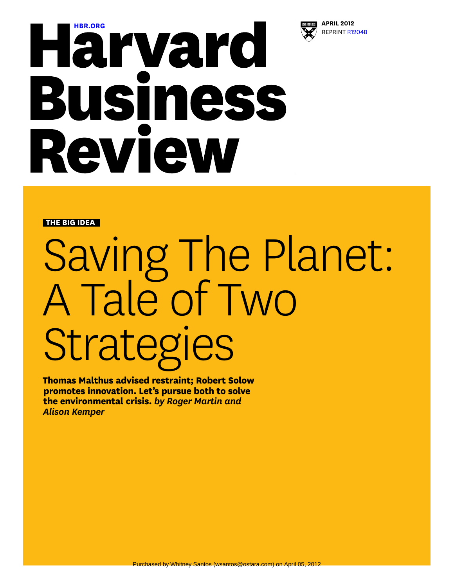

# **H[BR.ORG](http://hbr.org) APRIL 2012 APRIL 2012 Business** Review

**The Big Idea**

# Saving The Planet: A Tale of Two Strategies

**Thomas Malthus advised restraint; Robert Solow promotes innovation. Let's pursue both to solve the environmental crisis.** *by Roger Martin and Alison Kemper*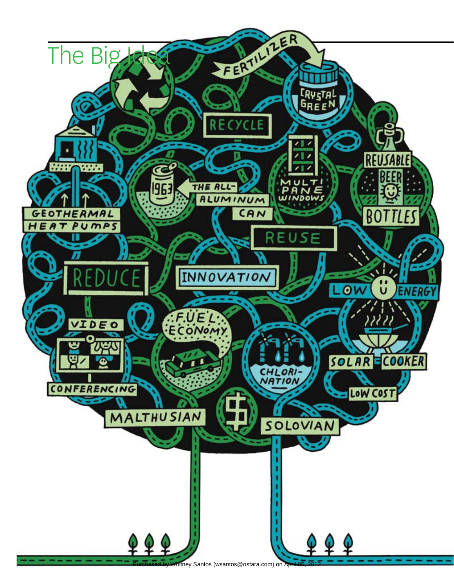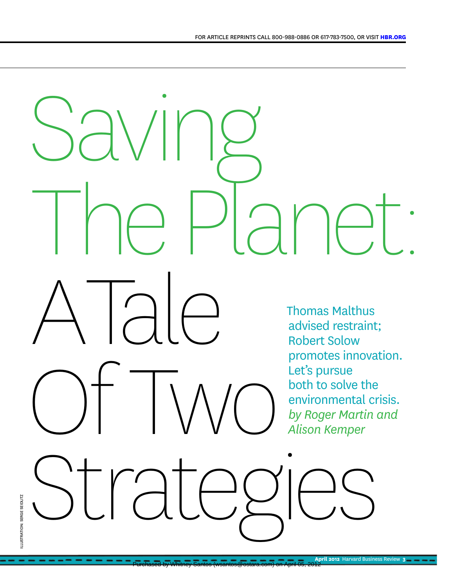**April 2012** Harvard Business Review **3**



Purchased by Whitney Santos (wsantos@ostara.com) on April 05, 2012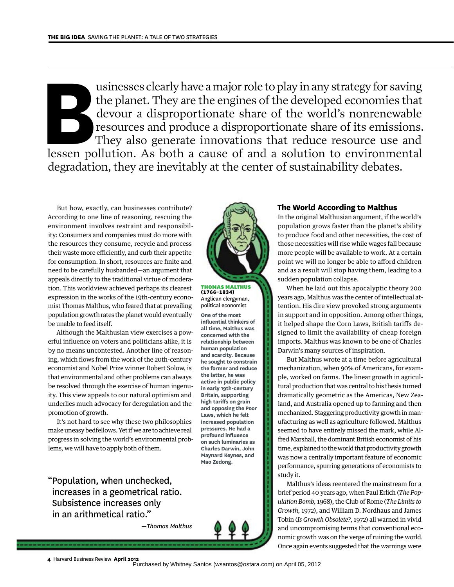usinesses clearly have a major role to play in any strategy for saving the planet. They are the engines of the developed economies that devour a disproportionate share of the world's nonrenewable resources and produce a di the planet. They are the engines of the developed economies that devour a disproportionate share of the world's nonrenewable resources and produce a disproportionate share of its emissions. They also generate innovations that reduce resource use and lessen pollution. As both a cause of and a solution to environmental degradation, they are inevitably at the center of sustainability debates.

But how, exactly, can businesses contribute? According to one line of reasoning, rescuing the environment involves restraint and responsibility: Consumers and companies must do more with the resources they consume, recycle and process their waste more efficiently, and curb their appetite for consumption. In short, resources are finite and need to be carefully husbanded—an argument that appeals directly to the traditional virtue of moderation. This worldview achieved perhaps its clearest expression in the works of the 19th-century economist Thomas Malthus, who feared that at prevailing population growth rates the planet would eventually be unable to feed itself.

Although the Malthusian view exercises a powerful influence on voters and politicians alike, it is by no means uncontested. Another line of reasoning, which flows from the work of the 20th-century economist and Nobel Prize winner Robert Solow, is that environmental and other problems can always be resolved through the exercise of human ingenuity. This view appeals to our natural optimism and underlies much advocacy for deregulation and the promotion of growth.

It's not hard to see why these two philosophies make uneasy bedfellows. Yet if we are to achieve real progress in solving the world's environmental problems, we will have to apply both of them.

" Population, when unchecked, increases in a geometrical ratio. Subsistence increases only in an arithmetical ratio."

—*Thomas Malthus*



Thomas Malthus **(1766–1834)** Anglican clergyman, political economist **One of the most influential thinkers of all time, Malthus was concerned with the relationship between human population and scarcity. Because he sought to constrain the former and reduce the latter, he was active in public policy in early 19th-century Britain, supporting high tariffs on grain and opposing the Poor Laws, which he felt increased population pressures. He had a profound influence on such luminaries as Charles Darwin, John Maynard Keynes, and Mao Zedong.**

# **The World According to Malthus**

In the original Malthusian argument, if the world's population grows faster than the planet's ability to produce food and other necessities, the cost of those necessities will rise while wages fall because more people will be available to work. At a certain point we will no longer be able to afford children and as a result will stop having them, leading to a sudden population collapse.

When he laid out this apocalyptic theory 200 years ago, Malthus was the center of intellectual attention. His dire view provoked strong arguments in support and in opposition. Among other things, it helped shape the Corn Laws, British tariffs designed to limit the availability of cheap foreign imports. Malthus was known to be one of Charles Darwin's many sources of inspiration.

But Malthus wrote at a time before agricultural mechanization, when 90% of Americans, for example, worked on farms. The linear growth in agricultural production that was central to his thesis turned dramatically geometric as the Americas, New Zealand, and Australia opened up to farming and then mechanized. Staggering productivity growth in manufacturing as well as agriculture followed. Malthus seemed to have entirely missed the mark, while Alfred Marshall, the dominant British economist of his time, explained to the world that productivity growth was now a centrally important feature of economic performance, spurring generations of economists to study it.

Malthus's ideas reentered the mainstream for a brief period 40 years ago, when Paul Erlich (*The Population Bomb,* 1968), the Club of Rome (*The Limits to Growth,* 1972), and William D. Nordhaus and James Tobin (*Is Growth Obsolete?*, 1972) all warned in vivid and uncompromising terms that conventional economic growth was on the verge of ruining the world. Once again events suggested that the warnings were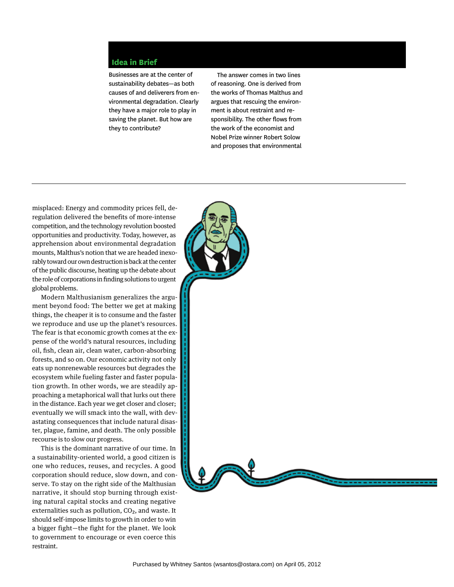Purchased by Whitney Santos (wsantos@ostara.com) on April 05, 2012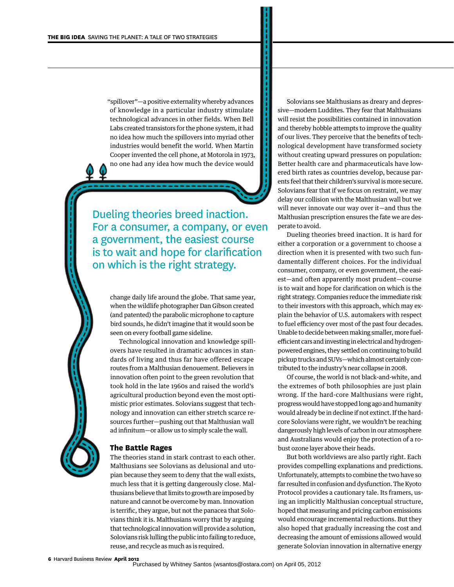"spillover"—a positive externality whereby advances of knowledge in a particular industry stimulate technological advances in other fields. When Bell Labs created transistors for the phone system, it had no idea how much the spillovers into myriad other industries would benefit the world. When Martin Cooper invented the cell phone, at Motorola in 1973, no one had any idea how much the device would

Dueling theories breed inaction. For a consumer, a company, or even a government, the easiest course is to wait and hope for clarification on which is the right strategy.

change daily life around the globe. That same year, when the wildlife photographer Dan Gibson created (and patented) the parabolic microphone to capture bird sounds, he didn't imagine that it would soon be seen on every football game sideline.

Technological innovation and knowledge spillovers have resulted in dramatic advances in standards of living and thus far have offered escape routes from a Malthusian denouement. Believers in innovation often point to the green revolution that took hold in the late 1960s and raised the world's agricultural production beyond even the most optimistic prior estimates. Solovians suggest that technology and innovation can either stretch scarce resources further—pushing out that Malthusian wall ad infinitum—or allow us to simply scale the wall.



# **The Battle Rages**

The theories stand in stark contrast to each other. Malthusians see Solovians as delusional and utopian because they seem to deny that the wall exists, much less that it is getting dangerously close. Malthusians believe that limits to growth are imposed by nature and cannot be overcome by man. Innovation is terrific, they argue, but not the panacea that Solovians think it is. Malthusians worry that by arguing that technological innovation will provide a solution, Solovians risk lulling the public into failing to reduce, reuse, and recycle as much as is required.

Solovians see Malthusians as dreary and depressive—modern Luddites. They fear that Malthusians will resist the possibilities contained in innovation and thereby hobble attempts to improve the quality of our lives. They perceive that the benefits of technological development have transformed society without creating upward pressures on population: Better health care and pharmaceuticals have lowered birth rates as countries develop, because parents feel that their children's survival is more secure. Solovians fear that if we focus on restraint, we may delay our collision with the Malthusian wall but we will never innovate our way over it—and thus the Malthusian prescription ensures the fate we are desperate to avoid.

Dueling theories breed inaction. It is hard for either a corporation or a government to choose a direction when it is presented with two such fundamentally different choices. For the individual consumer, company, or even government, the easiest—and often apparently most prudent—course is to wait and hope for clarification on which is the right strategy. Companies reduce the immediate risk to their investors with this approach, which may explain the behavior of U.S. automakers with respect to fuel efficiency over most of the past four decades. Unable to decide between making smaller, more fuelefficient cars and investing in electrical and hydrogenpowered engines, they settled on continuing to build pickup trucks and SUVs—which almost certainly contributed to the industry's near collapse in 2008.

Of course, the world is not black-and-white, and the extremes of both philosophies are just plain wrong. If the hard-core Malthusians were right, progress would have stopped long ago and humanity would already be in decline if not extinct. If the hardcore Solovians were right, we wouldn't be reaching dangerously high levels of carbon in our atmosphere and Australians would enjoy the protection of a robust ozone layer above their heads.

But both worldviews are also partly right. Each provides compelling explanations and predictions. Unfortunately, attempts to combine the two have so far resulted in confusion and dysfunction. The Kyoto Protocol provides a cautionary tale. Its framers, using an implicitly Malthusian conceptual structure, hoped that measuring and pricing carbon emissions would encourage incremental reductions. But they also hoped that gradually increasing the cost and decreasing the amount of emissions allowed would generate Solovian innovation in alternative energy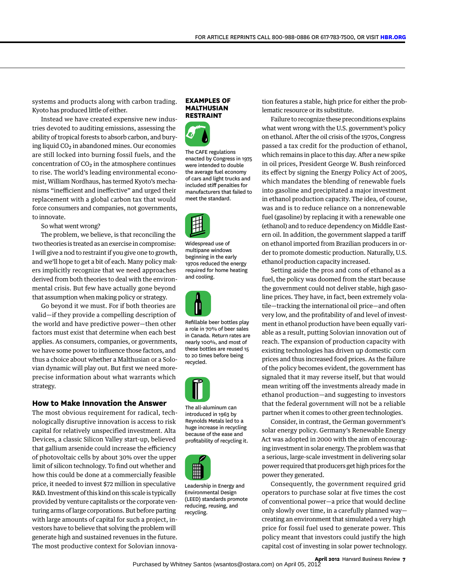systems and products along with carbon trading. Kyoto has produced little of either.

Instead we have created expensive new industries devoted to auditing emissions, assessing the ability of tropical forests to absorb carbon, and burying liquid  $CO<sub>2</sub>$  in abandoned mines. Our economies are still locked into burning fossil fuels, and the concentration of  $CO<sub>2</sub>$  in the atmosphere continues to rise. The world's leading environmental economist, William Nordhaus, has termed Kyoto's mechanisms "inefficient and ineffective" and urged their replacement with a global carbon tax that would force consumers and companies, not governments, to innovate.

So what went wrong?

The problem, we believe, is that reconciling the two theories is treated as an exercise in compromise: I will give a nod to restraint if you give one to growth, and we'll hope to get a bit of each. Many policy makers implicitly recognize that we need approaches derived from both theories to deal with the environmental crisis. But few have actually gone beyond that assumption when making policy or strategy.

Go beyond it we must. For if both theories are valid—if they provide a compelling description of the world and have predictive power—then other factors must exist that determine when each best applies. As consumers, companies, or governments, we have some power to influence those factors, and thus a choice about whether a Malthusian or a Solovian dynamic will play out. But first we need moreprecise information about what warrants which strategy.

# **How to Make Innovation the Answer**

The most obvious requirement for radical, technologically disruptive innovation is access to risk capital for relatively unspecified investment. Alta Devices, a classic Silicon Valley start-up, believed that gallium arsenide could increase the efficiency of photovoltaic cells by about 30% over the upper limit of silicon technology. To find out whether and how this could be done at a commercially feasible price, it needed to invest \$72 million in speculative R&D. Investment of this kind on this scale is typically provided by venture capitalists or the corporate venturing arms of large corporations. But before parting with large amounts of capital for such a project, investors have to believe that solving the problem will generate high and sustained revenues in the future. The most productive context for Solovian innova-

#### **Examples of Malthusian Restraint**



The CAFE regulations enacted by Congress in 1975 were intended to double the average fuel economy of cars and light trucks and included stiff penalties for manufacturers that failed to meet the standard.



Widespread use of multipane windows beginning in the early 1970s reduced the energy required for home heating and cooling.



Refillable beer bottles play a role in 70% of beer sales in Canada. Return rates are nearly 100%, and most of these bottles are reused 15 to 20 times before being recycled.



The all-aluminum can introduced in 1963 by Reynolds Metals led to a huge increase in recycling because of the ease and profitability of recycling it.



Leadership in Energy and Environmental Design (LEED) standards promote reducing, reusing, and recycling.

tion features a stable, high price for either the problematic resource or its substitute.

Failure to recognize these preconditions explains what went wrong with the U.S. government's policy on ethanol. After the oil crisis of the 1970s, Congress passed a tax credit for the production of ethanol, which remains in place to this day. After a new spike in oil prices, President George W. Bush reinforced its effect by signing the Energy Policy Act of 2005, which mandates the blending of renewable fuels into gasoline and precipitated a major investment in ethanol production capacity. The idea, of course, was and is to reduce reliance on a nonrenewable fuel (gasoline) by replacing it with a renewable one (ethanol) and to reduce dependency on Middle Eastern oil. In addition, the government slapped a tariff on ethanol imported from Brazilian producers in order to promote domestic production. Naturally, U.S. ethanol production capacity increased.

Setting aside the pros and cons of ethanol as a fuel, the policy was doomed from the start because the government could not deliver stable, high gasoline prices. They have, in fact, been extremely volatile—tracking the international oil price—and often very low, and the profitability of and level of investment in ethanol production have been equally variable as a result, putting Solovian innovation out of reach. The expansion of production capacity with existing technologies has driven up domestic corn prices and thus increased food prices. As the failure of the policy becomes evident, the government has signaled that it may reverse itself, but that would mean writing off the investments already made in ethanol production—and suggesting to investors that the federal government will not be a reliable partner when it comes to other green technologies.

Consider, in contrast, the German government's solar energy policy. Germany's Renewable Energy Act was adopted in 2000 with the aim of encouraging investment in solar energy. The problem was that a serious, large-scale investment in delivering solar power required that producers get high prices for the power they generated.

Consequently, the government required grid operators to purchase solar at five times the cost of conventional power—a price that would decline only slowly over time, in a carefully planned way creating an environment that simulated a very high price for fossil fuel used to generate power. This policy meant that investors could justify the high capital cost of investing in solar power technology.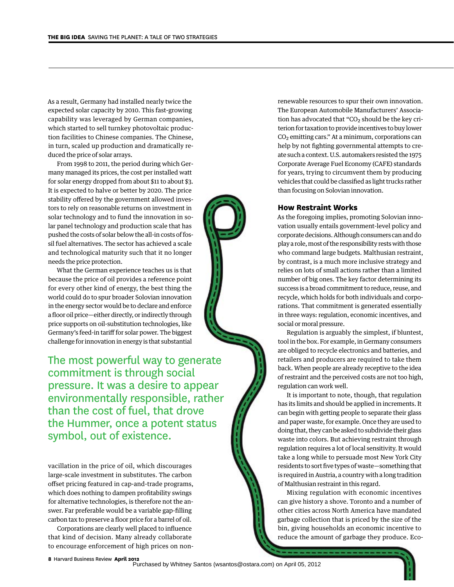As a result, Germany had installed nearly twice the expected solar capacity by 2010. This fast-growing capability was leveraged by German companies, which started to sell turnkey photovoltaic production facilities to Chinese companies. The Chinese, in turn, scaled up production and dramatically reduced the price of solar arrays.

From 1998 to 2011, the period during which Germany managed its prices, the cost per installed watt for solar energy dropped from about \$11 to about \$3. It is expected to halve or better by 2020. The price stability offered by the government allowed investors to rely on reasonable returns on investment in solar technology and to fund the innovation in solar panel technology and production scale that has pushed the costs of solar below the all-in costs of fossil fuel alternatives. The sector has achieved a scale and technological maturity such that it no longer needs the price protection.

What the German experience teaches us is that because the price of oil provides a reference point for every other kind of energy, the best thing the world could do to spur broader Solovian innovation in the energy sector would be to declare and enforce a floor oil price—either directly, or indirectly through price supports on oil-substitution technologies, like Germany's feed-in tariff for solar power. The biggest challenge for innovation in energy is that substantial

The most powerful way to generate commitment is through social pressure. It was a desire to appear environmentally responsible, rather than the cost of fuel, that drove the Hummer, once a potent status symbol, out of existence.

vacillation in the price of oil, which discourages large-scale investment in substitutes. The carbon offset pricing featured in cap-and-trade programs, which does nothing to dampen profitability swings for alternative technologies, is therefore not the answer. Far preferable would be a variable gap-filling carbon tax to preserve a floor price for a barrel of oil.

Corporations are clearly well placed to influence that kind of decision. Many already collaborate to encourage enforcement of high prices on non-

renewable resources to spur their own innovation. The European Automobile Manufacturers' Association has advocated that "CO<sub>2</sub> should be the key criterion for taxation to provide incentives to buy lower  $CO<sub>2</sub>$  emitting cars." At a minimum, corporations can help by not fighting governmental attempts to create such a context. U.S. automakers resisted the 1975 Corporate Average Fuel Economy (CAFE) standards for years, trying to circumvent them by producing vehicles that could be classified as light trucks rather than focusing on Solovian innovation.

# **How Restraint Works**

As the foregoing implies, promoting Solovian innovation usually entails government-level policy and corporate decisions. Although consumers can and do play a role, most of the responsibility rests with those who command large budgets. Malthusian restraint, by contrast, is a much more inclusive strategy and relies on lots of small actions rather than a limited number of big ones. The key factor determining its success is a broad commitment to reduce, reuse, and recycle, which holds for both individuals and corporations. That commitment is generated essentially in three ways: regulation, economic incentives, and social or moral pressure.

Regulation is arguably the simplest, if bluntest, tool in the box. For example, in Germany consumers are obliged to recycle electronics and batteries, and retailers and producers are required to take them back. When people are already receptive to the idea of restraint and the perceived costs are not too high, regulation can work well.

It is important to note, though, that regulation has its limits and should be applied in increments. It can begin with getting people to separate their glass and paper waste, for example. Once they are used to doing that, they can be asked to subdivide their glass waste into colors. But achieving restraint through regulation requires a lot of local sensitivity. It would take a long while to persuade most New York City residents to sort five types of waste—something that is required in Austria, a country with a long tradition of Malthusian restraint in this regard.

Mixing regulation with economic incentives can give history a shove. Toronto and a number of other cities across North America have mandated garbage collection that is priced by the size of the bin, giving households an economic incentive to reduce the amount of garbage they produce. Eco-

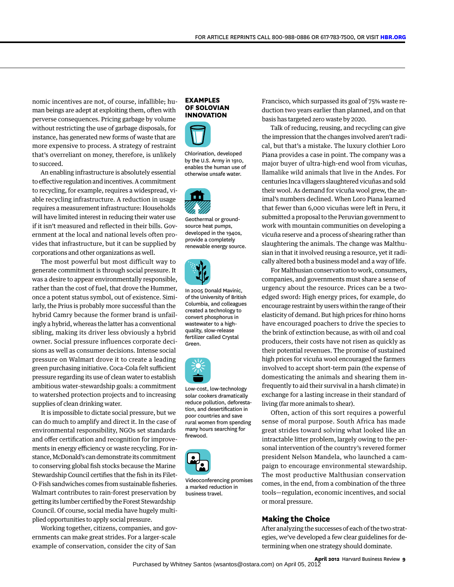nomic incentives are not, of course, infallible; human beings are adept at exploiting them, often with perverse consequences. Pricing garbage by volume without restricting the use of garbage disposals, for instance, has generated new forms of waste that are more expensive to process. A strategy of restraint that's overreliant on money, therefore, is unlikely to succeed.

An enabling infrastructure is absolutely essential to effective regulation and incentives. A commitment to recycling, for example, requires a widespread, viable recycling infrastructure. A reduction in usage requires a measurement infrastructure: Households will have limited interest in reducing their water use if it isn't measured and reflected in their bills. Government at the local and national levels often provides that infrastructure, but it can be supplied by corporations and other organizations as well.

The most powerful but most difficult way to generate commitment is through social pressure. It was a desire to appear environmentally responsible, rather than the cost of fuel, that drove the Hummer, once a potent status symbol, out of existence. Similarly, the Prius is probably more successful than the hybrid Camry because the former brand is unfailingly a hybrid, whereas the latter has a conventional sibling, making its driver less obviously a hybrid owner. Social pressure influences corporate decisions as well as consumer decisions. Intense social pressure on Walmart drove it to create a leading green purchasing initiative. Coca-Cola felt sufficient pressure regarding its use of clean water to establish ambitious water-stewardship goals: a commitment to watershed protection projects and to increasing supplies of clean drinking water.

It is impossible to dictate social pressure, but we can do much to amplify and direct it. In the case of environmental responsibility, NGOs set standards and offer certification and recognition for improvements in energy efficiency or waste recycling. For instance, McDonald's can demonstrate its commitment to conserving global fish stocks because the Marine Stewardship Council certifies that the fish in its Filet-O-Fish sandwiches comes from sustainable fisheries. Walmart contributes to rain-forest preservation by getting its lumber certified by the Forest Stewardship Council. Of course, social media have hugely multiplied opportunities to apply social pressure.

Working together, citizens, companies, and governments can make great strides. For a larger-scale example of conservation, consider the city of San

#### **Examples of Solovian Innovation**



Chlorination, developed by the U.S. Army in 1910, enables the human use of otherwise unsafe water.



Geothermal or groundsource heat pumps, developed in the 1940s, provide a completely renewable energy source.



In 2005 Donald Mavinic, of the University of British Columbia, and colleagues created a technology to convert phosphorus in wastewater to a highquality, slow-release fertilizer called Crystal Green.



Low-cost, low-technology solar cookers dramatically reduce pollution, deforestation, and desertification in poor countries and save rural women from spending many hours searching for firewood.



Videoconferencing promises a marked reduction in business travel.

Francisco, which surpassed its goal of 75% waste reduction two years earlier than planned, and on that basis has targeted zero waste by 2020.

Talk of reducing, reusing, and recycling can give the impression that the changes involved aren't radical, but that's a mistake. The luxury clothier Loro Piana provides a case in point. The company was a major buyer of ultra-high-end wool from vicuñas, llamalike wild animals that live in the Andes. For centuries Inca villagers slaughtered vicuñas and sold their wool. As demand for vicuña wool grew, the animal's numbers declined. When Loro Piana learned that fewer than 6,000 vicuñas were left in Peru, it submitted a proposal to the Peruvian government to work with mountain communities on developing a vicuña reserve and a process of shearing rather than slaughtering the animals. The change was Malthusian in that it involved reusing a resource, yet it radically altered both a business model and a way of life.

For Malthusian conservation to work, consumers, companies, and governments must share a sense of urgency about the resource. Prices can be a twoedged sword: High energy prices, for example, do encourage restraint by users within the range of their elasticity of demand. But high prices for rhino horns have encouraged poachers to drive the species to the brink of extinction because, as with oil and coal producers, their costs have not risen as quickly as their potential revenues. The promise of sustained high prices for vicuña wool encouraged the farmers involved to accept short-term pain (the expense of domesticating the animals and shearing them infrequently to aid their survival in a harsh climate) in exchange for a lasting increase in their standard of living (far more animals to shear).

Often, action of this sort requires a powerful sense of moral purpose. South Africa has made great strides toward solving what looked like an intractable litter problem, largely owing to the personal intervention of the country's revered former president Nelson Mandela, who launched a campaign to encourage environmental stewardship. The most productive Malthusian conservation comes, in the end, from a combination of the three tools—regulation, economic incentives, and social or moral pressure.

# **Making the Choice**

After analyzing the successes of each of the two strategies, we've developed a few clear guidelines for determining when one strategy should dominate.